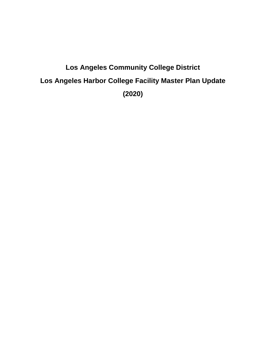# **Los Angeles Community College District Los Angeles Harbor College Facility Master Plan Update (2020)**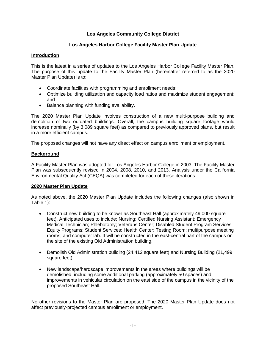## **Los Angeles Community College District**

## **Los Angeles Harbor College Facility Master Plan Update**

## **Introduction**

This is the latest in a series of updates to the Los Angeles Harbor College Facility Master Plan. The purpose of this update to the Facility Master Plan (hereinafter referred to as the 2020 Master Plan Update) is to:

- Coordinate facilities with programming and enrollment needs;
- Optimize building utilization and capacity load ratios and maximize student engagement; and
- Balance planning with funding availability.

The 2020 Master Plan Update involves construction of a new multi-purpose building and demolition of two outdated buildings. Overall, the campus building square footage would increase nominally (by 3,089 square feet) as compared to previously approved plans, but result in a more efficient campus.

The proposed changes will not have any direct effect on campus enrollment or employment.

## **Background**

A Facility Master Plan was adopted for Los Angeles Harbor College in 2003. The Facility Master Plan was subsequently revised in 2004, 2008, 2010, and 2013. Analysis under the California Environmental Quality Act (CEQA) was completed for each of these iterations.

## **2020 Master Plan Update**

As noted above, the 2020 Master Plan Update includes the following changes (also shown in Table 1):

- Construct new building to be known as Southeast Hall (approximately 49,000 square feet). Anticipated uses to include: Nursing; Certified Nursing Assistant; Emergency Medical Technician; Phlebotomy; Veterans Center; Disabled Student Program Services; Equity Programs; Student Services; Health Center; Testing Room; multipurpose meeting rooms; and computer lab. It will be constructed in the east-central part of the campus on the site of the existing Old Administration building.
- Demolish Old Administration building (24,412 square feet) and Nursing Building (21,499 square feet).
- New landscape/hardscape improvements in the areas where buildings will be demolished, including some additional parking (approximately 50 spaces) and improvements in vehicular circulation on the east side of the campus in the vicinity of the proposed Southeast Hall.

No other revisions to the Master Plan are proposed. The 2020 Master Plan Update does not affect previously-projected campus enrollment or employment.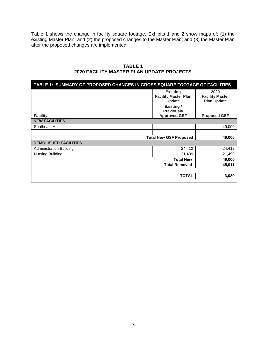Table 1 shows the change in facility square footage. Exhibits 1 and 2 show maps of: (1) the existing Master Plan, and (2) the proposed changes to the Master Plan; and (3) the Master Plan after the proposed changes are implemented.

| TABLE 1: SUMMARY OF PROPOSED CHANGES IN GROSS SQUARE FOOTAGE OF FACILITIES |                                                                 |                                                      |
|----------------------------------------------------------------------------|-----------------------------------------------------------------|------------------------------------------------------|
|                                                                            | <b>Existing</b><br><b>Facility Master Plan</b><br><b>Update</b> | 2020<br><b>Facility Master</b><br><b>Plan Update</b> |
| <b>Facility</b>                                                            | Existing/<br><b>Previously</b><br><b>Approved GSF</b>           | <b>Proposed GSF</b>                                  |
| <b>NEW FACILITIES</b>                                                      |                                                                 |                                                      |
| Southeast Hall                                                             | $---$                                                           | 49,000                                               |
|                                                                            |                                                                 |                                                      |
| <b>Total New GSF Proposed</b>                                              |                                                                 | 49,000                                               |
| <b>DEMOLISHED FACILITIES</b>                                               |                                                                 |                                                      |
| <b>Administration Building</b>                                             | 24,412                                                          | $-24,412$                                            |
| Nursing Building                                                           | 21,499                                                          | $-21,499$                                            |
|                                                                            | <b>Total New</b>                                                | 49,000                                               |
|                                                                            | <b>Total Removed</b>                                            | $-45,911$                                            |
|                                                                            | <b>TOTAL</b>                                                    | 3,089                                                |
|                                                                            |                                                                 |                                                      |

## **TABLE 1 2020 FACILITY MASTER PLAN UPDATE PROJECTS**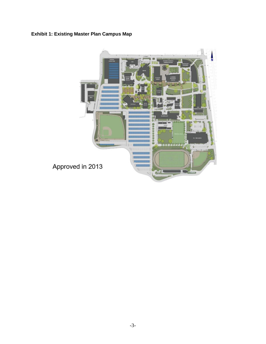## **Exhibit 1: Existing Master Plan Campus Map**

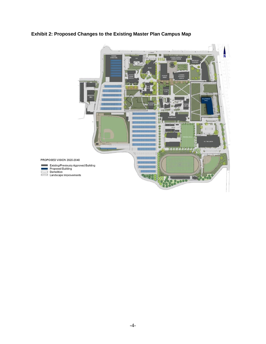## **Exhibit 2: Proposed Changes to the Existing Master Plan Campus Map**

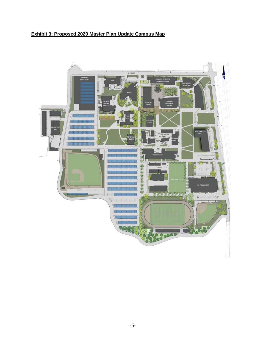# **Exhibit 3: Proposed 2020 Master Plan Update Campus Map**